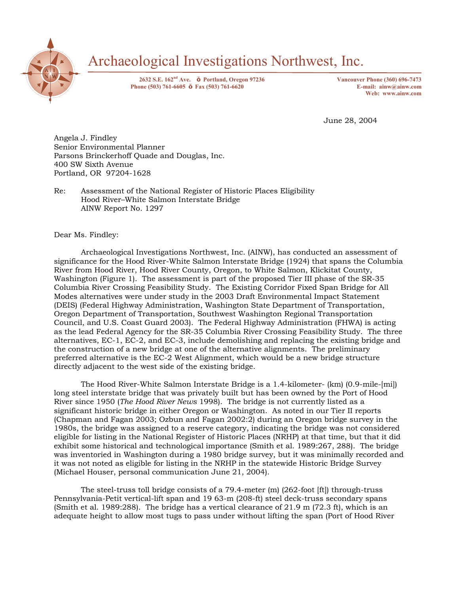

# Archaeological Investigations Northwest, Inc.

**2632 S.E. 162nd Ave. Portland, Oregon 97236 Vancouver Phone (360) 696-7473 Phone (503) 761-6605 Fax (503) 761-6620 E-mail: ainw@ainw.com** 

**Web: www.ainw.com** 

June 28, 2004

Angela J. Findley Senior Environmental Planner Parsons Brinckerhoff Quade and Douglas, Inc. 400 SW Sixth Avenue Portland, OR 97204-1628

Re: Assessment of the National Register of Historic Places Eligibility Hood River-White Salmon Interstate Bridge AINW Report No. 1297

Dear Ms. Findley:

 Archaeological Investigations Northwest, Inc. (AINW), has conducted an assessment of significance for the Hood River-White Salmon Interstate Bridge (1924) that spans the Columbia River from Hood River, Hood River County, Oregon, to White Salmon, Klickitat County, Washington (Figure 1). The assessment is part of the proposed Tier III phase of the SR-35 Columbia River Crossing Feasibility Study. The Existing Corridor Fixed Span Bridge for All Modes alternatives were under study in the 2003 Draft Environmental Impact Statement (DEIS) (Federal Highway Administration, Washington State Department of Transportation, Oregon Department of Transportation, Southwest Washington Regional Transportation Council, and U.S. Coast Guard 2003). The Federal Highway Administration (FHWA) is acting as the lead Federal Agency for the SR-35 Columbia River Crossing Feasibility Study. The three alternatives, EC-1, EC-2, and EC-3, include demolishing and replacing the existing bridge and the construction of a new bridge at one of the alternative alignments. The preliminary preferred alternative is the EC-2 West Alignment, which would be a new bridge structure directly adjacent to the west side of the existing bridge.

 The Hood River-White Salmon Interstate Bridge is a 1.4-kilometer- (km) (0.9-mile-[mi]) long steel interstate bridge that was privately built but has been owned by the Port of Hood River since 1950 (*The Hood River News* 1998). The bridge is not currently listed as a significant historic bridge in either Oregon or Washington. As noted in our Tier II reports (Chapman and Fagan 2003; Ozbun and Fagan 2002:2) during an Oregon bridge survey in the 1980s, the bridge was assigned to a reserve category, indicating the bridge was not considered eligible for listing in the National Register of Historic Places (NRHP) at that time, but that it did exhibit some historical and technological importance (Smith et al. 1989:267, 288). The bridge was inventoried in Washington during a 1980 bridge survey, but it was minimally recorded and it was not noted as eligible for listing in the NRHP in the statewide Historic Bridge Survey (Michael Houser, personal communication June 21, 2004).

 The steel-truss toll bridge consists of a 79.4-meter (m) (262-foot [ft]) through-truss Pennsylvania-Petit vertical-lift span and 19 63-m (208-ft) steel deck-truss secondary spans (Smith et al. 1989:288). The bridge has a vertical clearance of 21.9 m (72.3 ft), which is an adequate height to allow most tugs to pass under without lifting the span (Port of Hood River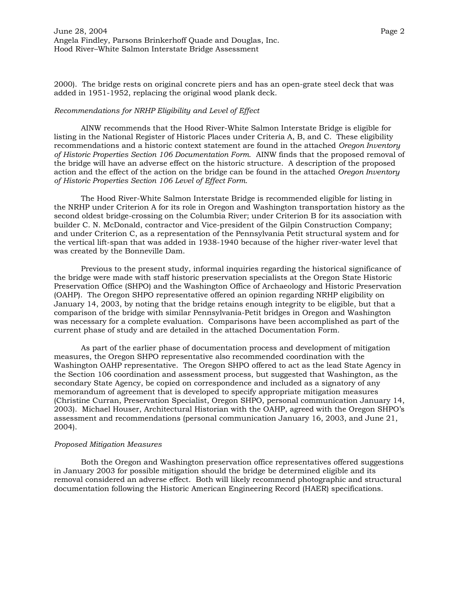2000). The bridge rests on original concrete piers and has an open-grate steel deck that was added in 1951-1952, replacing the original wood plank deck.

### *Recommendations for NRHP Eligibility and Level of Effect*

 AINW recommends that the Hood River-White Salmon Interstate Bridge is eligible for listing in the National Register of Historic Places under Criteria A, B, and C. These eligibility recommendations and a historic context statement are found in the attached *Oregon Inventory of Historic Properties Section 106 Documentation Form*. AINW finds that the proposed removal of the bridge will have an adverse effect on the historic structure. A description of the proposed action and the effect of the action on the bridge can be found in the attached *Oregon Inventory of Historic Properties Section 106 Level of Effect Form*.

 The Hood River-White Salmon Interstate Bridge is recommended eligible for listing in the NRHP under Criterion A for its role in Oregon and Washington transportation history as the second oldest bridge-crossing on the Columbia River; under Criterion B for its association with builder C. N. McDonald, contractor and Vice-president of the Gilpin Construction Company; and under Criterion C, as a representation of the Pennsylvania Petit structural system and for the vertical lift-span that was added in 1938-1940 because of the higher river-water level that was created by the Bonneville Dam.

 Previous to the present study, informal inquiries regarding the historical significance of the bridge were made with staff historic preservation specialists at the Oregon State Historic Preservation Office (SHPO) and the Washington Office of Archaeology and Historic Preservation (OAHP). The Oregon SHPO representative offered an opinion regarding NRHP eligibility on January 14, 2003, by noting that the bridge retains enough integrity to be eligible, but that a comparison of the bridge with similar Pennsylvania-Petit bridges in Oregon and Washington was necessary for a complete evaluation. Comparisons have been accomplished as part of the current phase of study and are detailed in the attached Documentation Form.

 As part of the earlier phase of documentation process and development of mitigation measures, the Oregon SHPO representative also recommended coordination with the Washington OAHP representative. The Oregon SHPO offered to act as the lead State Agency in the Section 106 coordination and assessment process, but suggested that Washington, as the secondary State Agency, be copied on correspondence and included as a signatory of any memorandum of agreement that is developed to specify appropriate mitigation measures (Christine Curran, Preservation Specialist, Oregon SHPO, personal communication January 14, 2003). Michael Houser, Architectural Historian with the OAHP, agreed with the Oregon SHPOís assessment and recommendations (personal communication January 16, 2003, and June 21, 2004).

#### *Proposed Mitigation Measures*

 Both the Oregon and Washington preservation office representatives offered suggestions in January 2003 for possible mitigation should the bridge be determined eligible and its removal considered an adverse effect. Both will likely recommend photographic and structural documentation following the Historic American Engineering Record (HAER) specifications.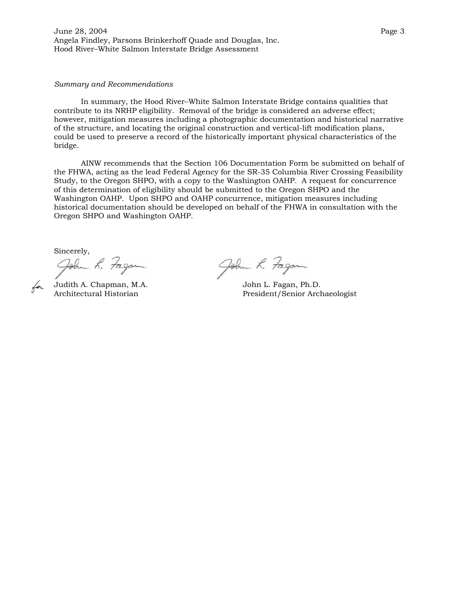June 28, 2004 Page 3 Angela Findley, Parsons Brinkerhoff Quade and Douglas, Inc. Hood River-White Salmon Interstate Bridge Assessment

#### *Summary and Recommendations*

In summary, the Hood River-White Salmon Interstate Bridge contains qualities that contribute to its NRHP eligibility. Removal of the bridge is considered an adverse effect; however, mitigation measures including a photographic documentation and historical narrative of the structure, and locating the original construction and vertical-lift modification plans, could be used to preserve a record of the historically important physical characteristics of the bridge.

 AINW recommends that the Section 106 Documentation Form be submitted on behalf of the FHWA, acting as the lead Federal Agency for the SR-35 Columbia River Crossing Feasibility Study, to the Oregon SHPO, with a copy to the Washington OAHP. A request for concurrence of this determination of eligibility should be submitted to the Oregon SHPO and the Washington OAHP. Upon SHPO and OAHP concurrence, mitigation measures including historical documentation should be developed on behalf of the FHWA in consultation with the Oregon SHPO and Washington OAHP.

Sincerely,<br>John K. Fagan John R. Fagan<br>Judith A. Chapman, M.A. John L. Fagan, Ph.D.<br>Architectural Historian President/Senior Arch

President/Senior Archaeologist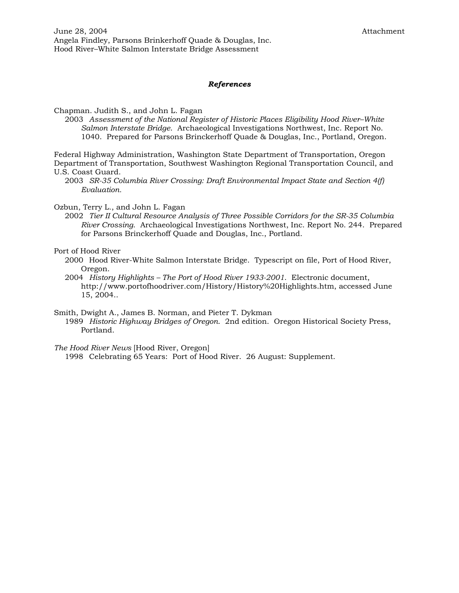## *References*

Chapman. Judith S., and John L. Fagan

2003 Assessment of the National Register of Historic Places Eligibility Hood River-White *Salmon Interstate Bridge*. Archaeological Investigations Northwest, Inc. Report No. 1040. Prepared for Parsons Brinckerhoff Quade & Douglas, Inc., Portland, Oregon.

Federal Highway Administration, Washington State Department of Transportation, Oregon Department of Transportation, Southwest Washington Regional Transportation Council, and U.S. Coast Guard.

 2003 *SR-35 Columbia River Crossing: Draft Environmental Impact State and Section 4(f) Evaluation.* 

Ozbun, Terry L., and John L. Fagan

 2002 *Tier II Cultural Resource Analysis of Three Possible Corridors for the SR-35 Columbia River Crossing*. Archaeological Investigations Northwest, Inc. Report No. 244. Prepared for Parsons Brinckerhoff Quade and Douglas, Inc., Portland.

Port of Hood River

 2000 Hood River-White Salmon Interstate Bridge. Typescript on file, Port of Hood River, Oregon.

 2004 *History Highlights ñ The Port of Hood River 1933-2001*. Electronic document, http://www.portofhoodriver.com/History/History%20Highlights.htm, accessed June 15, 2004..

Smith, Dwight A., James B. Norman, and Pieter T. Dykman

 1989 *Historic Highway Bridges of Oregon*. 2nd edition. Oregon Historical Society Press, Portland.

*The Hood River News* [Hood River, Oregon]

1998 Celebrating 65 Years: Port of Hood River. 26 August: Supplement.